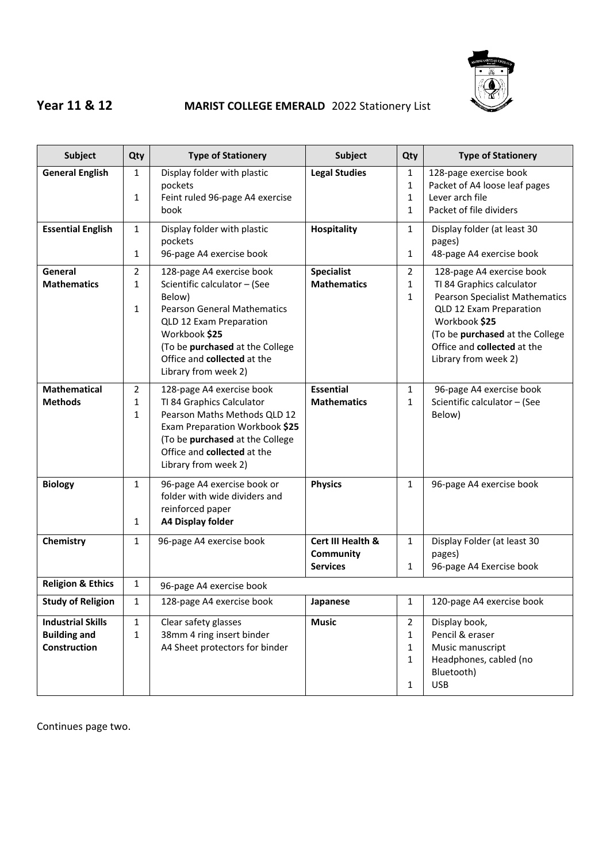

## **Year 11 & 12 MARIST COLLEGE EMERALD** 2022 Stationery List

| <b>Subject</b>                                                  | Qty                                            | <b>Type of Stationery</b>                                                                                                                                                                                                                       | <b>Subject</b>                                           | Qty                                           | <b>Type of Stationery</b>                                                                                                                                                                                                             |
|-----------------------------------------------------------------|------------------------------------------------|-------------------------------------------------------------------------------------------------------------------------------------------------------------------------------------------------------------------------------------------------|----------------------------------------------------------|-----------------------------------------------|---------------------------------------------------------------------------------------------------------------------------------------------------------------------------------------------------------------------------------------|
| <b>General English</b>                                          | $\mathbf{1}$<br>$\mathbf{1}$                   | Display folder with plastic<br>pockets<br>Feint ruled 96-page A4 exercise<br>book                                                                                                                                                               | <b>Legal Studies</b>                                     | 1<br>1<br>$\mathbf{1}$<br>1                   | 128-page exercise book<br>Packet of A4 loose leaf pages<br>Lever arch file<br>Packet of file dividers                                                                                                                                 |
| <b>Essential English</b>                                        | $\mathbf{1}$<br>$\mathbf{1}$                   | Display folder with plastic<br>pockets<br>96-page A4 exercise book                                                                                                                                                                              | <b>Hospitality</b>                                       | $\mathbf{1}$<br>1                             | Display folder (at least 30<br>pages)<br>48-page A4 exercise book                                                                                                                                                                     |
| General<br><b>Mathematics</b>                                   | $\overline{2}$<br>$\mathbf{1}$<br>$\mathbf{1}$ | 128-page A4 exercise book<br>Scientific calculator - (See<br>Below)<br><b>Pearson General Mathematics</b><br>QLD 12 Exam Preparation<br>Workbook \$25<br>(To be purchased at the College<br>Office and collected at the<br>Library from week 2) | <b>Specialist</b><br><b>Mathematics</b>                  | $\overline{2}$<br>1<br>$\mathbf{1}$           | 128-page A4 exercise book<br>TI 84 Graphics calculator<br><b>Pearson Specialist Mathematics</b><br>QLD 12 Exam Preparation<br>Workbook \$25<br>(To be purchased at the College<br>Office and collected at the<br>Library from week 2) |
| <b>Mathematical</b><br><b>Methods</b>                           | $\overline{2}$<br>1<br>$\mathbf{1}$            | 128-page A4 exercise book<br>TI 84 Graphics Calculator<br>Pearson Maths Methods QLD 12<br>Exam Preparation Workbook \$25<br>(To be purchased at the College<br>Office and collected at the<br>Library from week 2)                              | <b>Essential</b><br><b>Mathematics</b>                   | 1<br>$\mathbf{1}$                             | 96-page A4 exercise book<br>Scientific calculator - (See<br>Below)                                                                                                                                                                    |
| <b>Biology</b>                                                  | $\mathbf{1}$<br>$\mathbf{1}$                   | 96-page A4 exercise book or<br>folder with wide dividers and<br>reinforced paper<br><b>A4 Display folder</b>                                                                                                                                    | <b>Physics</b>                                           | $\mathbf{1}$                                  | 96-page A4 exercise book                                                                                                                                                                                                              |
| Chemistry                                                       | $\mathbf{1}$                                   | 96-page A4 exercise book                                                                                                                                                                                                                        | Cert III Health &<br><b>Community</b><br><b>Services</b> | $\mathbf{1}$<br>1                             | Display Folder (at least 30<br>pages)<br>96-page A4 Exercise book                                                                                                                                                                     |
| <b>Religion &amp; Ethics</b>                                    | $\mathbf{1}$                                   | 96-page A4 exercise book                                                                                                                                                                                                                        |                                                          |                                               |                                                                                                                                                                                                                                       |
| <b>Study of Religion</b>                                        | $\mathbf{1}$                                   | 128-page A4 exercise book                                                                                                                                                                                                                       | Japanese                                                 | 1                                             | 120-page A4 exercise book                                                                                                                                                                                                             |
| <b>Industrial Skills</b><br><b>Building and</b><br>Construction | $\mathbf{1}$<br>$\mathbf{1}$                   | Clear safety glasses<br>38mm 4 ring insert binder<br>A4 Sheet protectors for binder                                                                                                                                                             | <b>Music</b>                                             | $\overline{2}$<br>1<br>1<br>1<br>$\mathbf{1}$ | Display book,<br>Pencil & eraser<br>Music manuscript<br>Headphones, cabled (no<br>Bluetooth)<br><b>USB</b>                                                                                                                            |

Continues page two.